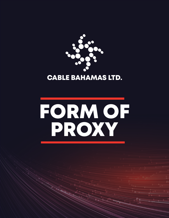

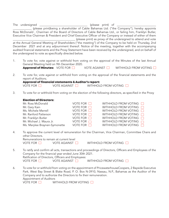|                                                                                                             | The undersigned | (please print) of                                                                                            |  |  |
|-------------------------------------------------------------------------------------------------------------|-----------------|--------------------------------------------------------------------------------------------------------------|--|--|
|                                                                                                             |                 | (please print)being a shareholder of Cable Bahamas Ltd. ("the Company"), hereby appoints                     |  |  |
|                                                                                                             |                 | Ross McDonald, Chairman of the Board of Directors of Cable Bahamas Ltd., or failing him, Franklyn Butler,    |  |  |
| Executive Vice Chairman & President and Chief Executive Officer of the Company or instead of either of them |                 |                                                                                                              |  |  |
|                                                                                                             |                 | (please print) as proxy of the undersigned to attend and vote                                                |  |  |
|                                                                                                             |                 | at the Annual General Meeting of Shareholders ("the meeting") of the Company to be held on Thursday, 2nd     |  |  |
| December 2021 and at any adjournment thereof. Notice of the meeting, together with the accompanying         |                 |                                                                                                              |  |  |
|                                                                                                             |                 | audited financial statements and the Proxy Statement have been received by the undersigned, and on behalf of |  |  |
| the undersigned to vote as specifically directed below.                                                     |                 |                                                                                                              |  |  |

- 1. To vote for, vote against or withhold from voting on the approval of the Minutes of the last Annual General Meeting held on 9th December 2020. Approval of Minutes: VOTE FOR VOTE AGAINST WITHHOLD FROM VOTING
- 2. To vote for, vote against or withhold from voting on the approval of the financial statements and the report of Auditors;

|                   | <b>Approval of financial statements &amp; Auditor's report:</b> |                      |
|-------------------|-----------------------------------------------------------------|----------------------|
| VOTE FOR <b>H</b> | VOTE AGAINST I                                                  | WITHHOLD FROM VOTING |

3. To vote for or withhold from voting on the election of the following directors, as specified in the Proxy

## Election of Directors:

| Mr. Ross McDonald             | VOTE FOR $\Box$    | WITHHOLD FROM VOTING        |
|-------------------------------|--------------------|-----------------------------|
| Mr. Gary Kain                 | VOTE FOR $\Box$    | WITHHOLD FROM VOTING        |
| Ms. Michele Merrell           | VOTE FOR $\square$ | WITHHOLD FROM VOTING        |
| Mr. Ranford Patterson         | VOTE FOR $\Box$    | WITHHOLD FROM VOTING $\Box$ |
| Mr. Franklyn Butler           | VOTE FOR $\Box$    | WITHHOLD FROM VOTING        |
| Mr. Michael J. Maura Jr.      | VOTE FOR $\Box$    | WITHHOLD FROM VOTING $\Box$ |
| Ms. Marylee Braynen-Symonette | VOTE FOR $\Box$    | WITHHOLD FROM VOTING        |

4. To approve the current level of remuneration for the Chairman, Vice Chairman, Committee Chairs and other Directors. Remunerations to remain at current level

| VOTE FOR | <b>VOTE AGAINST</b> |
|----------|---------------------|

 $\neg$  WITHHOLD FROM VOTING  $\neg$ 

 $\Box$ 

- 5. To ratify and confirm all acts, transactions and proceedings of Directors, Officers and Employees of the Company for the financial year ended June 30th 2021. Ratification of Directors, Officers and Employees: VOTE FOR  $\Box$  VOTE AGAINST  $\Box$  WITHHOLD FROM VOTING  $\Box$
- 6. To vote for or withhold from voting on the appointment of PricewaterhouseCoopers, 2 Bayside Executive Park, West Bay Street & Blake Road, P. O. Box N-3910, Nassau, N.P., Bahamas as the Auditor of the Company and to authorize the Directors to fix their remuneration. Appointment of Auditors VOTE FOR **NUTHHOLD FROM VOTING**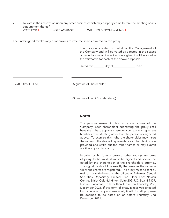7. To vote in their discretion upon any other business which may properly come before the meeting or any adjournment thereof. VOTE FOR VOTE AGAINST WITHHOLD FROM VOTING

The undersigned revokes any prior proxies to vote the shares covered by this proxy.

This proxy is solicited on behalf of the Management of the Company and will be voted as directed in the spaces provided above or, if no direction is given it will be voted in the affirmative for each of the above proposals.

Dated this day of the case of the 2021

(CORPORATE SEAL) (Signature of Shareholder)

(Signature of Joint Shareholder(s))

## NOTES

The persons named in this proxy are officers of the Company. Each shareholder submitting the proxy shall have the right to appoint a person or company to represent him/her at the Meeting other than the persons designated above. To exercise this right, the shareholder may insert the name of the desired representative in the blank space provided and strike out the other names or may submit another appropriate proxy.

In order for this form of proxy or other appropriate forms of proxy to be valid, it must be signed and should be dated by the shareholder of the shareholder's attorney. The signature should be exactly the same as the name in which the shares are registered. The proxy must be sent by mail or hand delivered to the offices of Bahamas Central Securities Depository Limited, 2nd Floor Fort Nassau Centre, British Colonial Hilton, Suite 202, P.O. Box N 9307, Nassau, Bahamas, no later than 4 p.m. on Thursday, 2nd, December 2021. If this form of proxy is received undated but otherwise properly executed, it will for all purposes be deemed to be dated on or before Thursday, 2nd December 2021.